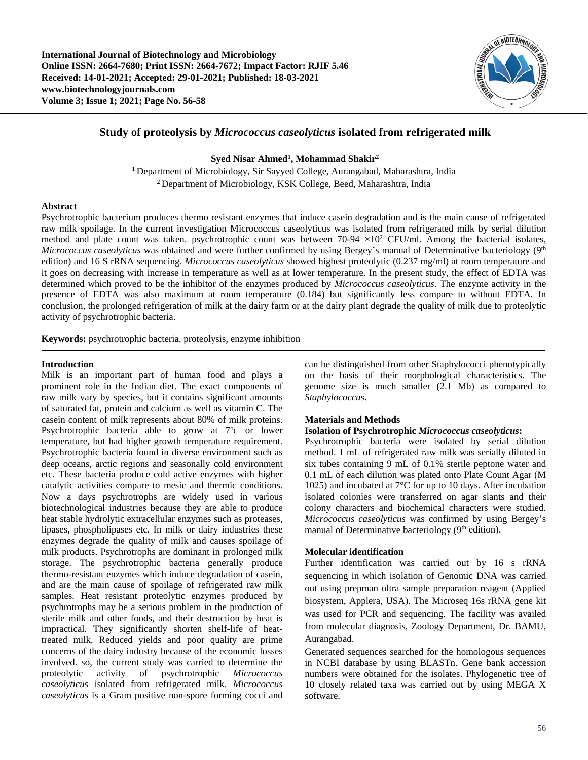

# **Study of proteolysis by** *Micrococcus caseolyticus* **isolated from refrigerated milk**

**Syed Nisar Ahmed1 , Mohammad Shakir2**

<sup>1</sup> Department of Microbiology, Sir Sayyed College, Aurangabad, Maharashtra, India <sup>2</sup> Department of Microbiology, KSK College, Beed, Maharashtra, India

# **Abstract**

Psychrotrophic bacterium produces thermo resistant enzymes that induce casein degradation and is the main cause of refrigerated raw milk spoilage. In the current investigation Micrococcus caseolyticus was isolated from refrigerated milk by serial dilution method and plate count was taken. psychrotrophic count was between 70-94 ×10<sup>2</sup> CFU/ml. Among the bacterial isolates, *Micrococcus caseolyticus* was obtained and were further confirmed by using Bergey's manual of Determinative bacteriology (9<sup>th</sup>) edition) and 16 S rRNA sequencing. *Micrococcus caseolyticus* showed highest proteolytic (0.237 mg/ml) at room temperature and it goes on decreasing with increase in temperature as well as at lower temperature. In the present study, the effect of EDTA was determined which proved to be the inhibitor of the enzymes produced by *Micrococcus caseolyticus*. The enzyme activity in the presence of EDTA was also maximum at room temperature (0.184) but significantly less compare to without EDTA. In conclusion, the prolonged refrigeration of milk at the dairy farm or at the dairy plant degrade the quality of milk due to proteolytic activity of psychrotrophic bacteria.

**Keywords:** psychrotrophic bacteria. proteolysis, enzyme inhibition

## **Introduction**

Milk is an important part of human food and plays a prominent role in the Indian diet. The exact components of raw milk vary by species, but it contains significant amounts of saturated fat, protein and calcium as well as vitamin C. The casein content of milk represents about 80% of milk proteins. Psychrotrophic bacteria able to grow at  $7^\circ$ c or lower temperature, but had higher growth temperature requirement. Psychrotrophic bacteria found in diverse environment such as deep oceans, arctic regions and seasonally cold environment etc. These bacteria produce cold active enzymes with higher catalytic activities compare to mesic and thermic conditions. Now a days psychrotrophs are widely used in various biotechnological industries because they are able to produce heat stable hydrolytic extracellular enzymes such as proteases, lipases, phospholipases etc. In milk or dairy industries these enzymes degrade the quality of milk and causes spoilage of milk products. Psychrotrophs are dominant in prolonged milk storage. The psychrotrophic bacteria generally produce thermo-resistant enzymes which induce degradation of casein, and are the main cause of spoilage of refrigerated raw milk samples. Heat resistant proteolytic enzymes produced by psychrotrophs may be a serious problem in the production of sterile milk and other foods, and their destruction by heat is impractical. They significantly shorten shelf-life of heattreated milk. Reduced yields and poor quality are prime concerns of the dairy industry because of the economic losses involved. so, the current study was carried to determine the proteolytic activity of psychrotrophic *Micrococcus caseolyticus* isolated from refrigerated milk. *Micrococcus caseolyticus* is a Gram positive non-spore forming cocci and

can be distinguished from other Staphylococci phenotypically on the basis of their morphological characteristics. The genome size is much smaller (2.1 Mb) as compared to *Staphylococcus*.

# **Materials and Methods**

## **Isolation of Psychrotrophic** *Micrococcus caseolyticus***:**

Psychrotrophic bacteria were isolated by serial dilution method. 1 mL of refrigerated raw milk was serially diluted in six tubes containing 9 mL of 0.1% sterile peptone water and 0.1 mL of each dilution was plated onto Plate Count Agar (M 1025) and incubated at 7°C for up to 10 days. After incubation isolated colonies were transferred on agar slants and their colony characters and biochemical characters were studied. *Micrococcus caseolyticus* was confirmed by using Bergey's manual of Determinative bacteriology (9<sup>th</sup> edition).

# **Molecular identification**

Further identification was carried out by 16 s rRNA sequencing in which isolation of Genomic DNA was carried out using prepman ultra sample preparation reagent (Applied biosystem, Applera, USA). The Microseq 16s rRNA gene kit was used for PCR and sequencing. The facility was availed from molecular diagnosis, Zoology Department, Dr. BAMU, Aurangabad.

Generated sequences searched for the homologous sequences in NCBI database by using BLASTn. Gene bank accession numbers were obtained for the isolates. Phylogenetic tree of 10 closely related taxa was carried out by using MEGA X software.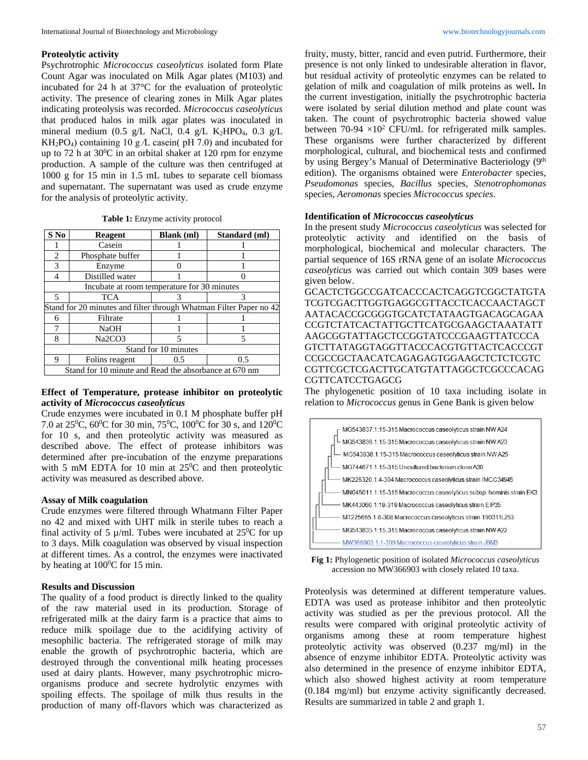#### **Proteolytic activity**

Psychrotrophic *Micrococcus caseolyticus* isolated form Plate Count Agar was inoculated on Milk Agar plates (M103) and incubated for 24 h at 37°C for the evaluation of proteolytic activity. The presence of clearing zones in Milk Agar plates indicating proteolysis was recorded. *Micrococcus caseolyticus* that produced halos in milk agar plates was inoculated in mineral medium (0.5 g/L NaCl, 0.4 g/L K<sub>2</sub>HPO<sub>4</sub>, 0.3 g/L KH<sub>2</sub>PO<sub>4</sub>) containing 10 g $\Lambda$  casein( pH 7.0) and incubated for up to 72 h at  $30^{\circ}$ C in an orbital shaker at 120 rpm for enzyme production. A sample of the culture was then centrifuged at 1000 g for 15 min in 1.5 mL tubes to separate cell biomass and supernatant. The supernatant was used as crude enzyme for the analysis of proteolytic activity.

**Table 1:** Enzyme activity protocol

| S No                                                               | <b>Reagent</b>                  | <b>Blank</b> (ml) | Standard (ml) |  |  |
|--------------------------------------------------------------------|---------------------------------|-------------------|---------------|--|--|
|                                                                    | Casein                          |                   |               |  |  |
| 2                                                                  | Phosphate buffer                |                   |               |  |  |
| 3                                                                  | Enzyme                          |                   |               |  |  |
| 4                                                                  | Distilled water                 |                   |               |  |  |
| Incubate at room temperature for 30 minutes                        |                                 |                   |               |  |  |
| 5                                                                  | <b>TCA</b>                      |                   |               |  |  |
| Stand for 20 minutes and filter through Whatman Filter Paper no 42 |                                 |                   |               |  |  |
| 6                                                                  | Filtrate                        |                   |               |  |  |
| 7                                                                  | <b>NaOH</b>                     |                   |               |  |  |
| 8                                                                  | Na <sub>2</sub> CO <sub>3</sub> | 5                 |               |  |  |
| Stand for 10 minutes                                               |                                 |                   |               |  |  |
| 9                                                                  | Folins reagent                  | 0.5               | 0.5           |  |  |
| Stand for 10 minute and Read the absorbance at 670 nm              |                                 |                   |               |  |  |

#### **Effect of Temperature, protease inhibitor on proteolytic activity of** *Micrococcus caseolyticus*

Crude enzymes were incubated in 0.1 M phosphate buffer pH 7.0 at 25<sup>o</sup>C, 60<sup>o</sup>C for 30 min, 75<sup>o</sup>C, 100<sup>o</sup>C for 30 s, and 120<sup>o</sup>C for 10 s, and then proteolytic activity was measured as described above. The effect of protease inhibitors was determined after pre-incubation of the enzyme preparations with 5 mM EDTA for 10 min at  $25^{\circ}$ C and then proteolytic activity was measured as described above.

## **Assay of Milk coagulation**

Crude enzymes were filtered through Whatmann Filter Paper no 42 and mixed with UHT milk in sterile tubes to reach a final activity of 5  $\mu$ /ml. Tubes were incubated at 25<sup>0</sup>C for up to 3 days. Milk coagulation was observed by visual inspection at different times. As a control, the enzymes were inactivated by heating at  $100^0C$  for 15 min.

## **Results and Discussion**

The quality of a food product is directly linked to the quality of the raw material used in its production. Storage of refrigerated milk at the dairy farm is a practice that aims to reduce milk spoilage due to the acidifying activity of mesophilic bacteria. The refrigerated storage of milk may enable the growth of psychrotrophic bacteria, which are destroyed through the conventional milk heating processes used at dairy plants. However, many psychrotrophic microorganisms produce and secrete hydrolytic enzymes with spoiling effects. The spoilage of milk thus results in the production of many off-flavors which was characterized as fruity, musty, bitter, rancid and even putrid. Furthermore, their presence is not only linked to undesirable alteration in flavor, but residual activity of proteolytic enzymes can be related to gelation of milk and coagulation of milk proteins as well**.** In the current investigation, initially the psychrotrophic bacteria were isolated by serial dilution method and plate count was taken. The count of psychrotrophic bacteria showed value between 70-94  $\times$ 10<sup>2</sup> CFU/mL for refrigerated milk samples. These organisms were further characterized by different morphological, cultural, and biochemical tests and confirmed by using Bergey's Manual of Determinative Bacteriology (9<sup>th</sup>) edition). The organisms obtained were *Enterobacter* species, *Pseudomonas* species, *Bacillus* species, *Stenotrophomonas*  species, *Aeromonas* species *Micrococcus species*.

## **Identification of** *Micrococcus caseolyticus*

In the present study *Micrococcus caseolyticus* was selected for proteolytic activity and identified on the basis of morphological, biochemical and molecular characters. The partial sequence of 16S rRNA gene of an isolate *Micrococcus caseolyticus* was carried out which contain 309 bases were given below.

GCACTCTGGCCGATCACCCACTCAGGTCGGCTATGTA TCGTCGACTTGGTGAGGCGTTACCTCACCAACTAGCT AATACACCGCGGGTGCATCTATAAGTGACAGCAGAA CCGTCTATCACTATTGCTTCATGCGAAGCTAAATATT AAGCGGTATTAGCTCCGGTATCCCGAAGTTATCCCA GTCTTATAGGTAGGTTACCCACGTGTTACTCACCCGT CCGCCGCTAACATCAGAGAGTGGAAGCTCTCTCGTC CGTTCGCTCGACTTGCATGTATTAGGCTCGCCCACAG CGTTCATCCTGAGCG

The phylogenetic position of 10 taxa including isolate in relation to *Micrococcus* genus in Gene Bank is given below



**Fig 1:** Phylogenetic position of isolated *Micrococcus caseolyticus* accession no MW366903 with closely related 10 taxa.

Proteolysis was determined at different temperature values. EDTA was used as protease inhibitor and then proteolytic activity was studied as per the previous protocol. All the results were compared with original proteolytic activity of organisms among these at room temperature highest proteolytic activity was observed (0.237 mg/ml) in the absence of enzyme inhibitor EDTA. Proteolytic activity was also determined in the presence of enzyme inhibitor EDTA, which also showed highest activity at room temperature (0.184 mg/ml) but enzyme activity significantly decreased. Results are summarized in table 2 and graph 1.